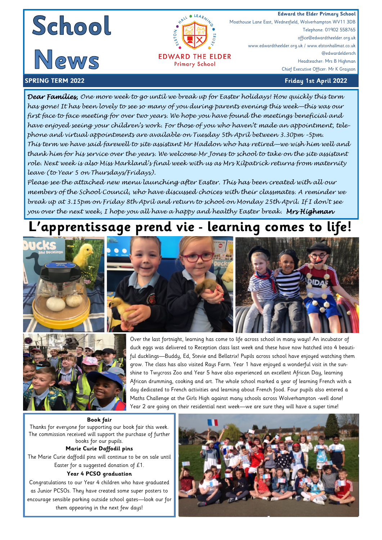



**EDWARD THE ELDER Primary School** 

**Edward the Elder Primary School**<br> **Edward the Elder Primary School**<br>
Moathouse Lane East, Wednesfield, Wolverhampton WV11 3DB Moathouse Lane East, Wednesfield, Wolverhampton WV11 3DB Telephone: 01902 558765 office@edwardtheelder.org.uk www.edwardtheelder.org.uk / www.elstonhallmat.co.uk @edwardeldersch Headteacher: Mrs B Highman Chief Executive Officer: Mr K Grayson

**SPRING TERM 2022 Friday 1st April 2022**

*Dear Families, One more week to go until we break up for Easter holidays! How quickly this term has gone! It has been lovely to see so many of you during parents evening this week—this was our first face to face meeting for over two years. We hope you have found the meetings beneficial and have enjoyed seeing your children's work. For those of you who haven't made an appointment, telephone and virtual appointments are available on Tuesday 5th April between 3.30pm –5pm. This term we have said farewell to site assistant Mr Haddon who has retired—we wish him well and thank him for his service over the years. We welcome Mr Jones to school to take on the site assistant role. Next week is also Miss Markland's final week with us as Mrs Kilpatrick returns from maternity leave (to Year 5 on Thursdays/Fridays).* 

*Please see the attached new menu launching after Easter. This has been created with all our members of the School Council, who have discussed choices with their classmates. A reminder we break up at 3.15pm on Friday 8th April and return to school on Monday 25th April. If I don't see you over the next week, I hope you all have a happy and healthy Easter break. Mrs Highman* 

## **L'apprentissage prend vie - learning comes to life!**





Over the last fortnight, learning has come to life across school in many ways! An incubator of duck eggs was delivered to Reception class last week and these have now hatched into 4 beautiful ducklings—Buddy, Ed, Stevie and Bellatrix! Pupils across school have enjoyed watching them grow. The class has also visited Rays Farm. Year 1 have enjoyed a wonderful visit in the sunshine to Twycross Zoo and Year 5 have also experienced an excellent African Day, learning African drumming, cooking and art. The whole school marked a year of learning French with a day dedicated to French activities and learning about French food. Four pupils also entered a Maths Challenge at the Girls High against many schools across Wolverhampton -well done! Year 2 are going on their residential next week—we are sure they will have a super time!

**Book fair**  Thanks for everyone for supporting our book fair this week. The commission received will support the purchase of further books for our pupils.

### **Marie Curie Daffodil pins**

The Marie Curie daffodil pins will continue to be on sale until Easter for a suggested donation of £1.

### **Year 4 PCSO graduation**

Congratulations to our Year 4 children who have graduated as Junior PCSOs. They have created some super posters to encourage sensible parking outside school gates—look our for them appearing in the next few days!